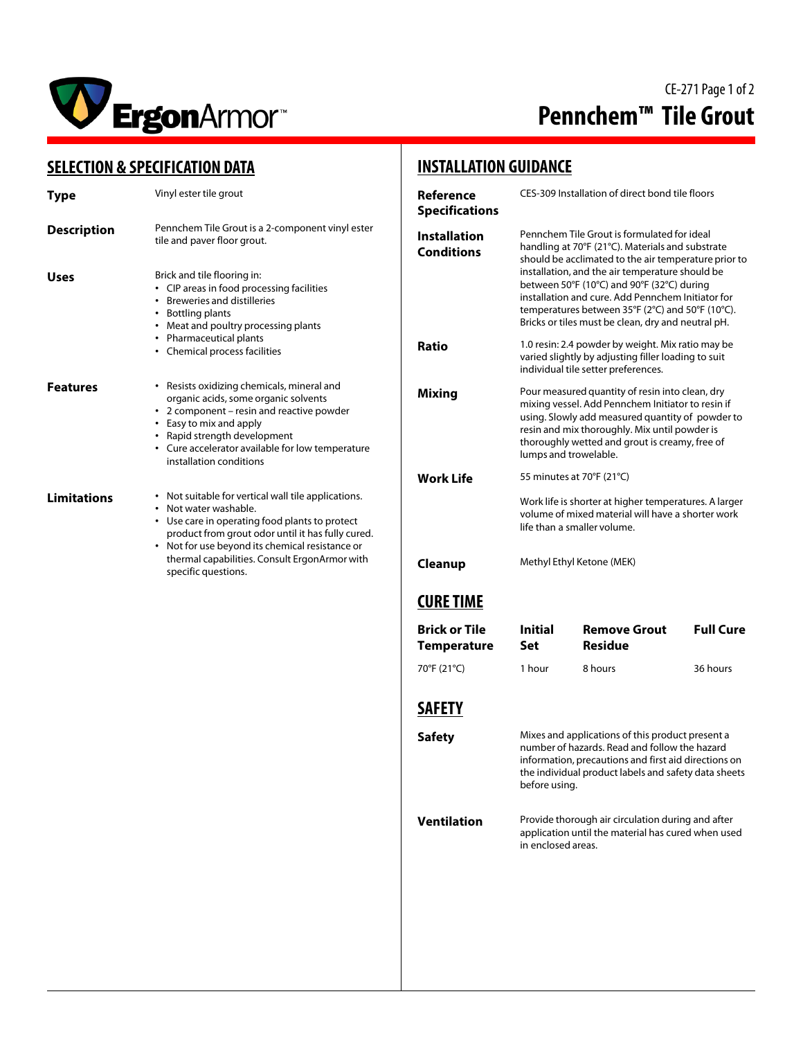

# CE-271 Page 1 of 2 **Pennchem™ Tile Grout**

### **SELECTION & SPECIFICATION DATA**

| Type               | Vinyl ester tile grout<br>Pennchem Tile Grout is a 2-component vinyl ester<br>tile and paver floor grout.                                                                                                                                                                                                    |  |  |
|--------------------|--------------------------------------------------------------------------------------------------------------------------------------------------------------------------------------------------------------------------------------------------------------------------------------------------------------|--|--|
| <b>Description</b> |                                                                                                                                                                                                                                                                                                              |  |  |
| Uses               | Brick and tile flooring in:<br>CIP areas in food processing facilities<br>• Breweries and distilleries<br>• Bottling plants<br>• Meat and poultry processing plants<br>• Pharmaceutical plants<br>• Chemical process facilities                                                                              |  |  |
| <b>Features</b>    | • Resists oxidizing chemicals, mineral and<br>organic acids, some organic solvents<br>2 component - resin and reactive powder<br>• Easy to mix and apply<br>• Rapid strength development<br>• Cure accelerator available for low temperature<br>installation conditions                                      |  |  |
| <b>Limitations</b> | • Not suitable for vertical wall tile applications.<br>• Not water washable.<br>• Use care in operating food plants to protect<br>product from grout odor until it has fully cured.<br>Not for use beyond its chemical resistance or<br>thermal capabilities. Consult ErgonArmor with<br>specific questions. |  |  |

### **INSTALLATION GUIDANCE**

| Reference<br><b>Specifications</b>         | CES-309 Installation of direct bond tile floors                                                                                                                                                                                                                                                                                                                                                                         |                                       |                  |  |
|--------------------------------------------|-------------------------------------------------------------------------------------------------------------------------------------------------------------------------------------------------------------------------------------------------------------------------------------------------------------------------------------------------------------------------------------------------------------------------|---------------------------------------|------------------|--|
| <b>Installation</b><br><b>Conditions</b>   | Pennchem Tile Grout is formulated for ideal<br>handling at 70°F (21°C). Materials and substrate<br>should be acclimated to the air temperature prior to<br>installation, and the air temperature should be<br>between 50°F (10°C) and 90°F (32°C) during<br>installation and cure. Add Pennchem Initiator for<br>temperatures between 35°F (2°C) and 50°F (10°C).<br>Bricks or tiles must be clean, dry and neutral pH. |                                       |                  |  |
| Ratio                                      | 1.0 resin: 2.4 powder by weight. Mix ratio may be<br>varied slightly by adjusting filler loading to suit<br>individual tile setter preferences.                                                                                                                                                                                                                                                                         |                                       |                  |  |
| <b>Mixing</b>                              | Pour measured quantity of resin into clean, dry<br>mixing vessel. Add Pennchem Initiator to resin if<br>using. Slowly add measured quantity of powder to<br>resin and mix thoroughly. Mix until powder is<br>thoroughly wetted and grout is creamy, free of<br>lumps and trowelable.                                                                                                                                    |                                       |                  |  |
| Work Life                                  | 55 minutes at 70°F (21°C)<br>Work life is shorter at higher temperatures. A larger<br>volume of mixed material will have a shorter work<br>life than a smaller volume.                                                                                                                                                                                                                                                  |                                       |                  |  |
|                                            |                                                                                                                                                                                                                                                                                                                                                                                                                         |                                       |                  |  |
| Cleanup                                    | Methyl Ethyl Ketone (MEK)                                                                                                                                                                                                                                                                                                                                                                                               |                                       |                  |  |
| <b>CURE TIME</b>                           |                                                                                                                                                                                                                                                                                                                                                                                                                         |                                       |                  |  |
| <b>Brick or Tile</b><br><b>Temperature</b> | Initial<br>Set                                                                                                                                                                                                                                                                                                                                                                                                          | <b>Remove Grout</b><br><b>Residue</b> | <b>Full Cure</b> |  |
| 70°F (21°C)                                | 1 hour                                                                                                                                                                                                                                                                                                                                                                                                                  | 8 hours                               | 36 hours         |  |
| SAFETY                                     |                                                                                                                                                                                                                                                                                                                                                                                                                         |                                       |                  |  |
| <b>Safety</b>                              | Mixes and applications of this product present a<br>number of hazards. Read and follow the hazard<br>information, precautions and first aid directions on<br>the individual product labels and safety data sheets<br>before using.                                                                                                                                                                                      |                                       |                  |  |
| <b>Ventilation</b>                         | Provide thorough air circulation during and after<br>application until the material has cured when used<br>in enclosed areas.                                                                                                                                                                                                                                                                                           |                                       |                  |  |
|                                            |                                                                                                                                                                                                                                                                                                                                                                                                                         |                                       |                  |  |